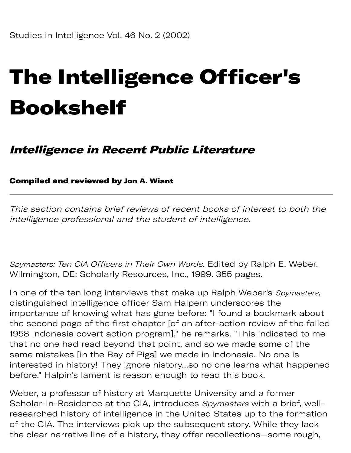## The Intelligence Officer's Bookshelf

## Intelligence in Recent Public Literature

## Compiled and reviewed by Jon A. Wiant

This section contains brief reviews of recent books of interest to both the intelligence professional and the student of intelligence.

Spymasters: Ten CIA Officers in Their Own Words. Edited by Ralph E. Weber. Wilmington, DE: Scholarly Resources, Inc., 1999. 355 pages.

In one of the ten long interviews that make up Ralph Weber's Spymasters, distinguished intelligence officer Sam Halpern underscores the importance of knowing what has gone before: "I found a bookmark about the second page of the first chapter [of an after-action review of the failed 1958 Indonesia covert action program]," he remarks. "This indicated to me that no one had read beyond that point, and so we made some of the same mistakes [in the Bay of Pigs] we made in Indonesia. No one is interested in history! They ignore history...so no one learns what happened before." Halpin's lament is reason enough to read this book.

Weber, a professor of history at Marquette University and a former Scholar-In-Residence at the CIA, introduces Spymasters with a brief, wellresearched history of intelligence in the United States up to the formation of the CIA. The interviews pick up the subsequent story. While they lack the clear narrative line of a history, they offer recollections—some rough,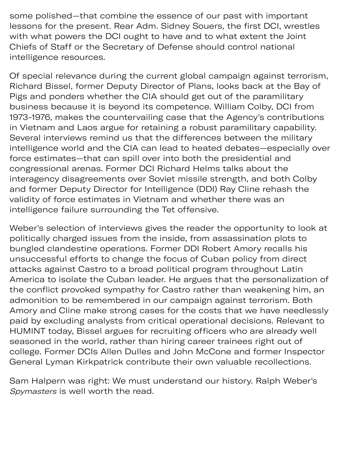some polished—that combine the essence of our past with important lessons for the present. Rear Adm. Sidney Souers, the first DCI, wrestles with what powers the DCI ought to have and to what extent the Joint Chiefs of Staff or the Secretary of Defense should control national intelligence resources.

Of special relevance during the current global campaign against terrorism, Richard Bissel, former Deputy Director of Plans, looks back at the Bay of Pigs and ponders whether the CIA should get out of the paramilitary business because it is beyond its competence. William Colby, DCI from 1973-1976, makes the countervailing case that the Agency's contributions in Vietnam and Laos argue for retaining a robust paramilitary capability. Several interviews remind us that the differences between the military intelligence world and the CIA can lead to heated debates—especially over force estimates—that can spill over into both the presidential and congressional arenas. Former DCI Richard Helms talks about the interagency disagreements over Soviet missile strength, and both Colby and former Deputy Director for Intelligence (DDI) Ray Cline rehash the validity of force estimates in Vietnam and whether there was an intelligence failure surrounding the Tet offensive.

Weber's selection of interviews gives the reader the opportunity to look at politically charged issues from the inside, from assassination plots to bungled clandestine operations. Former DDI Robert Amory recalls his unsuccessful efforts to change the focus of Cuban policy from direct attacks against Castro to a broad political program throughout Latin America to isolate the Cuban leader. He argues that the personalization of the conflict provoked sympathy for Castro rather than weakening him, an admonition to be remembered in our campaign against terrorism. Both Amory and Cline make strong cases for the costs that we have needlessly paid by excluding analysts from critical operational decisions. Relevant to HUMINT today, Bissel argues for recruiting officers who are already well seasoned in the world, rather than hiring career trainees right out of college. Former DCIs Allen Dulles and John McCone and former Inspector General Lyman Kirkpatrick contribute their own valuable recollections.

Sam Halpern was right: We must understand our history. Ralph Weber's Spymasters is well worth the read.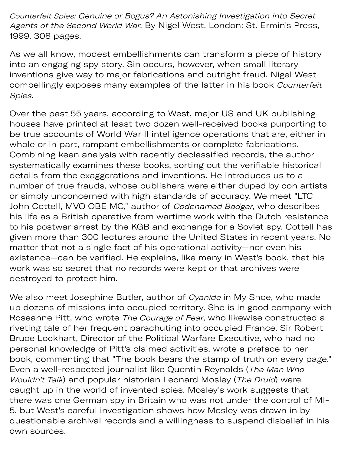Counterfeit Spies: Genuine or Bogus? An Astonishing Investigation into Secret Agents of the Second World War. By Nigel West. London: St. Ermin's Press, 1999. 308 pages.

As we all know, modest embellishments can transform a piece of history into an engaging spy story. Sin occurs, however, when small literary inventions give way to major fabrications and outright fraud. Nigel West compellingly exposes many examples of the latter in his book Counterfeit Spies.

Over the past 55 years, according to West, major US and UK publishing houses have printed at least two dozen well-received books purporting to be true accounts of World War II intelligence operations that are, either in whole or in part, rampant embellishments or complete fabrications. Combining keen analysis with recently declassified records, the author systematically examines these books, sorting out the verifiable historical details from the exagerations and inventions. He introduces us to a number of true frauds, whose publishers were either duped by con artists or simply unconcerned with high standards of accuracy. We meet "LTC John Cottell, MVO OBE MC," author of Codenamed Badger, who describes his life as a British operative from wartime work with the Dutch resistance to his postwar arrest by the KGB and exchange for a Soviet spy. Cottell has given more than 300 lectures around the United States in recent years. No matter that not a single fact of his operational activity—nor even his existence—can be verified. He explains, like many in West's book, that his work was so secret that no records were kept or that archives were destroyed to protect him.

We also meet Josephine Butler, author of Cyanide in My Shoe, who made up dozens of missions into occupied territory. She is in good company with Roseanne Pitt, who wrote The Courage of Fear, who likewise constructed a riveting tale of her frequent parachuting into occupied France. Sir Robert Bruce Lockhart, Director of the Political Warfare Executive, who had no personal knowledge of Pitt's claimed activities, wrote a preface to her book, commenting that "The book bears the stamp of truth on every page." Even a well-respected journalist like Quentin Reynolds (The Man Who Wouldn't Talk) and popular historian Leonard Mosley (The Druid) were caught up in the world of invented spies. Mosley's work suggests that there was one German spy in Britain who was not under the control of MI-5, but West's careful investigation shows how Mosley was drawn in by questionable archival records and a willingness to suspend disbelief in his own sources.